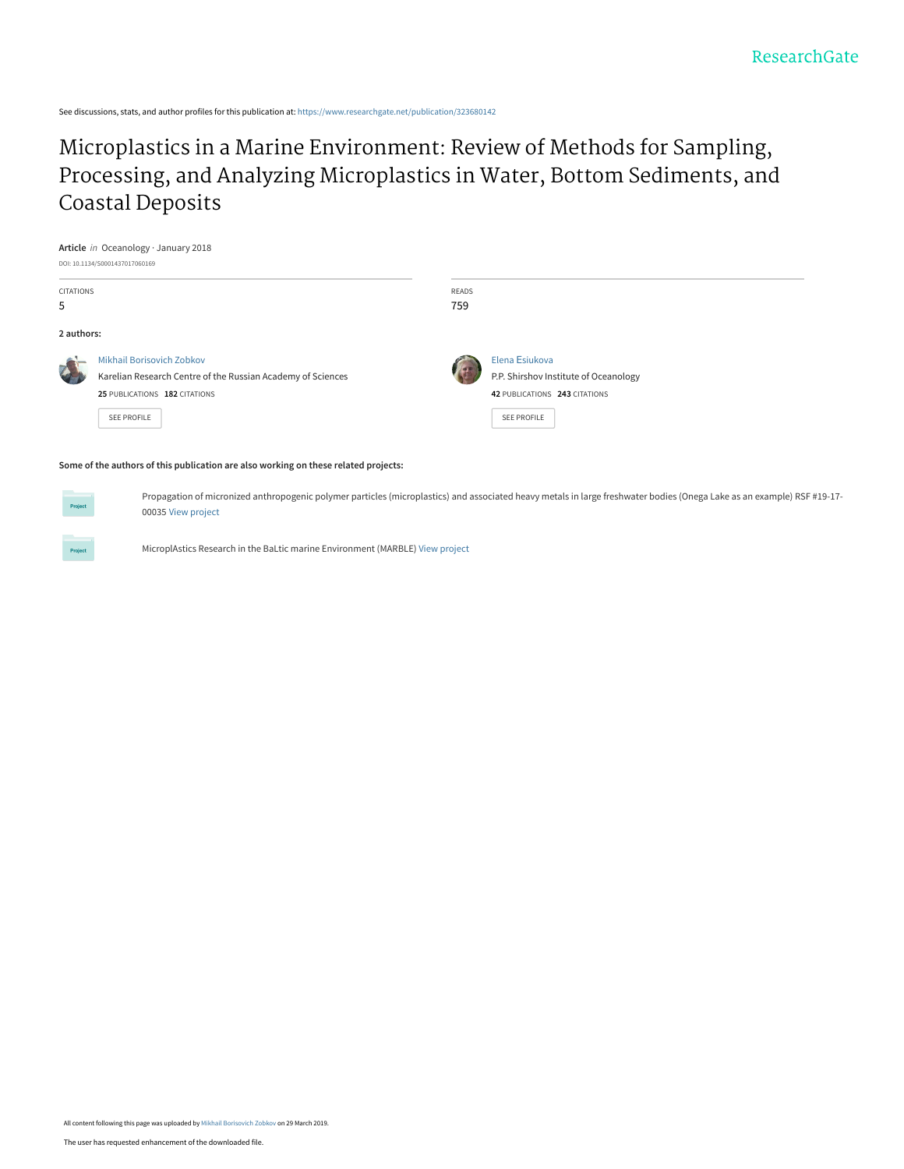See discussions, stats, and author profiles for this publication at: [https://www.researchgate.net/publication/323680142](https://www.researchgate.net/publication/323680142_Microplastics_in_a_Marine_Environment_Review_of_Methods_for_Sampling_Processing_and_Analyzing_Microplastics_in_Water_Bottom_Sediments_and_Coastal_Deposits?enrichId=rgreq-133531bc7423a05891a2fef3ff110e9f-XXX&enrichSource=Y292ZXJQYWdlOzMyMzY4MDE0MjtBUzo3NDE3MDI5MTQ1NjgxOThAMTU1Mzg0NzE2Mzk4MA%3D%3D&el=1_x_2&_esc=publicationCoverPdf)

Microplastics in a Marine Environment: Review of Methods for Sampling, [Processing, and Analyzing Microplastics in Water, Bottom Sediments, and](https://www.researchgate.net/publication/323680142_Microplastics_in_a_Marine_Environment_Review_of_Methods_for_Sampling_Processing_and_Analyzing_Microplastics_in_Water_Bottom_Sediments_and_Coastal_Deposits?enrichId=rgreq-133531bc7423a05891a2fef3ff110e9f-XXX&enrichSource=Y292ZXJQYWdlOzMyMzY4MDE0MjtBUzo3NDE3MDI5MTQ1NjgxOThAMTU1Mzg0NzE2Mzk4MA%3D%3D&el=1_x_3&_esc=publicationCoverPdf) Coastal Deposits



#### **Some of the authors of this publication are also working on these related projects:**

Project

Propagation of micronized anthropogenic polymer particles (microplastics) and associated heavy metals in large freshwater bodies (Onega Lake as an example) RSF #19-17- 00035 [View project](https://www.researchgate.net/project/Propagation-of-micronized-anthropogenic-polymer-particles-microplastics-and-associated-heavy-metals-in-large-freshwater-bodies-Onega-Lake-as-an-example-RSF-19-17-00035?enrichId=rgreq-133531bc7423a05891a2fef3ff110e9f-XXX&enrichSource=Y292ZXJQYWdlOzMyMzY4MDE0MjtBUzo3NDE3MDI5MTQ1NjgxOThAMTU1Mzg0NzE2Mzk4MA%3D%3D&el=1_x_9&_esc=publicationCoverPdf)

MicroplAstics Research in the BaLtic marine Environment (MARBLE) [View project](https://www.researchgate.net/project/MicroplAstics-Research-in-the-BaLtic-marine-Environment-MARBLE?enrichId=rgreq-133531bc7423a05891a2fef3ff110e9f-XXX&enrichSource=Y292ZXJQYWdlOzMyMzY4MDE0MjtBUzo3NDE3MDI5MTQ1NjgxOThAMTU1Mzg0NzE2Mzk4MA%3D%3D&el=1_x_9&_esc=publicationCoverPdf)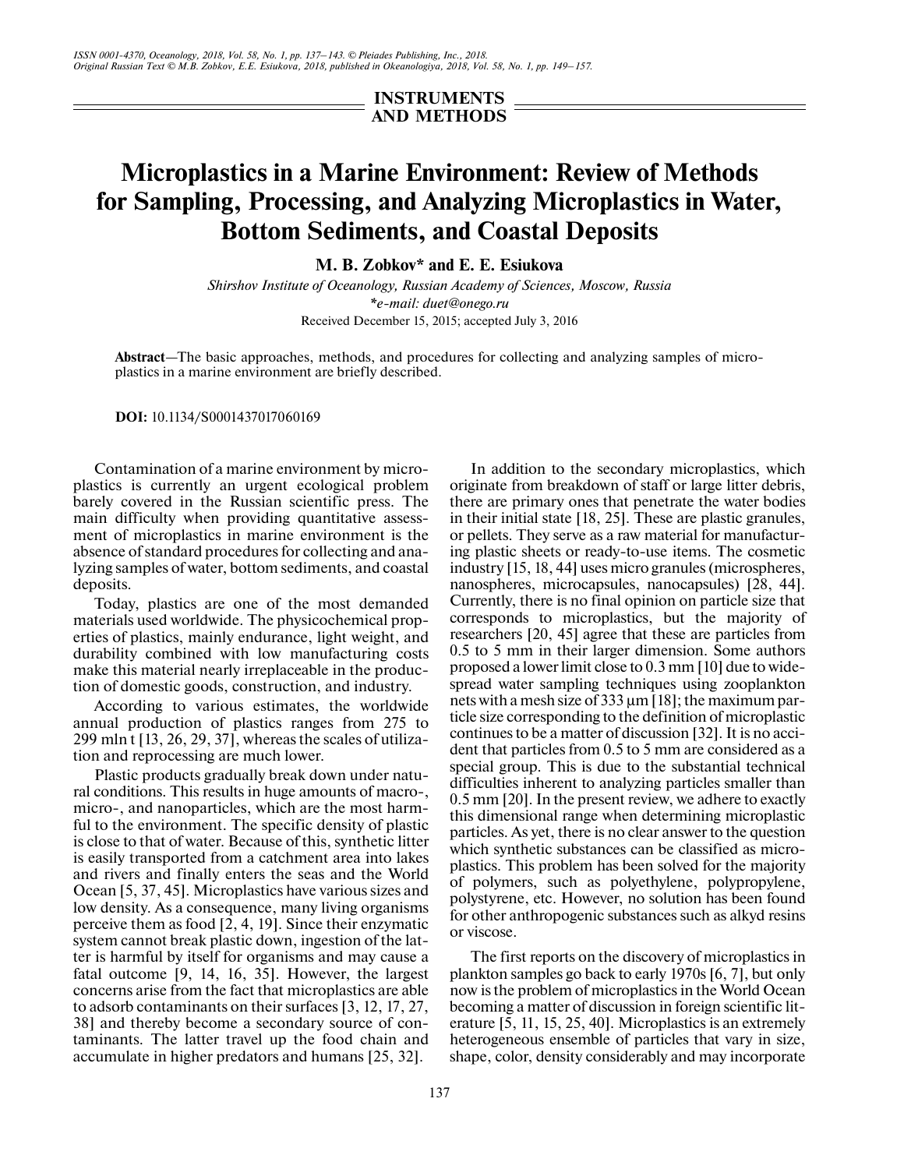## **INSTRUMENTS AND METHODS**

# **Microplastics in a Marine Environment: Review of Methods for Sampling, Processing, and Analyzing Microplastics in Water, Bottom Sediments, and Coastal Deposits**

**M. B. Zobkov\* and E. E. Esiukova**

*Shirshov Institute of Oceanology, Russian Academy of Sciences, Moscow, Russia \*e-mail: duet@onego.ru* Received December 15, 2015; accepted July 3, 2016

**Abstract**—The basic approaches, methods, and procedures for collecting and analyzing samples of microplastics in a marine environment are briefly described.

**DOI:** 10.1134/S0001437017060169

Contamination of a marine environment by microplastics is currently an urgent ecological problem barely covered in the Russian scientific press. The main difficulty when providing quantitative assessment of microplastics in marine environment is the absence of standard procedures for collecting and analyzing samples of water, bottom sediments, and coastal deposits.

Today, plastics are one of the most demanded materials used worldwide. The physicochemical properties of plastics, mainly endurance, light weight, and durability combined with low manufacturing costs make this material nearly irreplaceable in the production of domestic goods, construction, and industry.

According to various estimates, the worldwide annual production of plastics ranges from 275 to 299 mln t [13, 26, 29, 37], whereas the scales of utilization and reprocessing are much lower.

Plastic products gradually break down under natural conditions. This results in huge amounts of macro-, micro-, and nanoparticles, which are the most harmful to the environment. The specific density of plastic is close to that of water. Because of this, synthetic litter is easily transported from a catchment area into lakes and rivers and finally enters the seas and the World Ocean [5, 37, 45]. Microplastics have various sizes and low density. As a consequence, many living organisms perceive them as food [2, 4, 19]. Since their enzymatic system cannot break plastic down, ingestion of the latter is harmful by itself for organisms and may cause a fatal outcome [9, 14, 16, 35]. However, the largest concerns arise from the fact that microplastics are able to adsorb contaminants on their surfaces [3, 12, 17, 27, 38] and thereby become a secondary source of contaminants. The latter travel up the food chain and accumulate in higher predators and humans [25, 32].

In addition to the secondary microplastics, which originate from breakdown of staff or large litter debris, there are primary ones that penetrate the water bodies in their initial state [18, 25]. These are plastic granules, or pellets. They serve as a raw material for manufacturing plastic sheets or ready-to-use items. The cosmetic industry [15, 18, 44] uses micro granules (microspheres, nanospheres, microcapsules, nanocapsules) [28, 44]. Currently, there is no final opinion on particle size that corresponds to microplastics, but the majority of researchers [20, 45] agree that these are particles from 0.5 to 5 mm in their larger dimension. Some authors proposed a lower limit close to 0.3 mm [10] due to widespread water sampling techniques using zooplankton nets with a mesh size of 333 μm [18]; the maximum particle size corresponding to the definition of microplastic continues to be a matter of discussion [32]. It is no accident that particles from 0.5 to 5 mm are considered as a special group. This is due to the substantial technical difficulties inherent to analyzing particles smaller than 0.5 mm [20]. In the present review, we adhere to exactly this dimensional range when determining microplastic particles. As yet, there is no clear answer to the question which synthetic substances can be classified as microplastics. This problem has been solved for the majority of polymers, such as polyethylene, polypropylene, polystyrene, etc. However, no solution has been found for other anthropogenic substances such as alkyd resins or viscose.

The first reports on the discovery of microplastics in plankton samples go back to early 1970s [6, 7], but only now is the problem of microplastics in the World Ocean becoming a matter of discussion in foreign scientific literature [5, 11, 15, 25, 40]. Microplastics is an extremely heterogeneous ensemble of particles that vary in size, shape, color, density considerably and may incorporate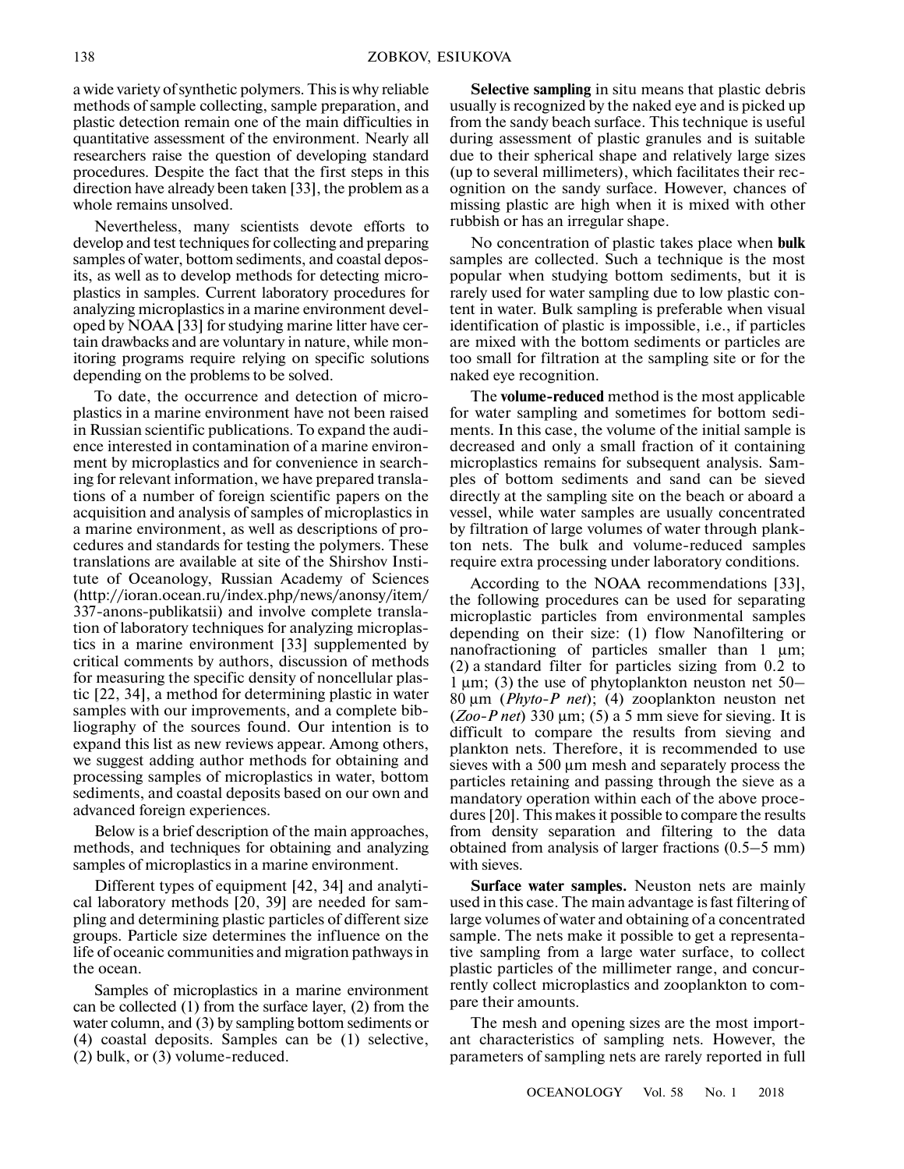a wide variety of synthetic polymers. This is why reliable methods of sample collecting, sample preparation, and plastic detection remain one of the main difficulties in quantitative assessment of the environment. Nearly all researchers raise the question of developing standard procedures. Despite the fact that the first steps in this direction have already been taken [33], the problem as a whole remains unsolved.

Nevertheless, many scientists devote efforts to develop and test techniques for collecting and preparing samples of water, bottom sediments, and coastal deposits, as well as to develop methods for detecting microplastics in samples. Current laboratory procedures for analyzing microplastics in a marine environment developed by NOAA [33] for studying marine litter have certain drawbacks and are voluntary in nature, while monitoring programs require relying on specific solutions depending on the problems to be solved.

To date, the occurrence and detection of microplastics in a marine environment have not been raised in Russian scientific publications. To expand the audience interested in contamination of a marine environment by microplastics and for convenience in searching for relevant information, we have prepared translations of a number of foreign scientific papers on the acquisition and analysis of samples of microplastics in a marine environment, as well as descriptions of procedures and standards for testing the polymers. These translations are available at site of the Shirshov Institute of Oceanology, Russian Academy of Sciences (http://ioran.ocean.ru/index.php/news/anonsy/item/ 337-anons-publikatsii) and involve complete translation of laboratory techniques for analyzing microplastics in a marine environment [33] supplemented by critical comments by authors, discussion of methods for measuring the specific density of noncellular plastic [22, 34], a method for determining plastic in water samples with our improvements, and a complete bibliography of the sources found. Our intention is to expand this list as new reviews appear. Among others, we suggest adding author methods for obtaining and processing samples of microplastics in water, bottom sediments, and coastal deposits based on our own and advanced foreign experiences.

Below is a brief description of the main approaches, methods, and techniques for obtaining and analyzing samples of microplastics in a marine environment.

Different types of equipment [42, 34] and analytical laboratory methods [20, 39] are needed for sampling and determining plastic particles of different size groups. Particle size determines the influence on the life of oceanic communities and migration pathways in the ocean.

Samples of microplastics in a marine environment can be collected (1) from the surface layer, (2) from the water column, and (3) by sampling bottom sediments or (4) coastal deposits. Samples can be (1) selective, (2) bulk, or (3) volume-reduced.

**Selective sampling** in situ means that plastic debris usually is recognized by the naked eye and is picked up from the sandy beach surface. This technique is useful during assessment of plastic granules and is suitable due to their spherical shape and relatively large sizes (up to several millimeters), which facilitates their recognition on the sandy surface. However, chances of missing plastic are high when it is mixed with other rubbish or has an irregular shape.

No concentration of plastic takes place when **bulk** samples are collected. Such a technique is the most popular when studying bottom sediments, but it is rarely used for water sampling due to low plastic content in water. Bulk sampling is preferable when visual identification of plastic is impossible, i.e., if particles are mixed with the bottom sediments or particles are too small for filtration at the sampling site or for the naked eye recognition.

The **volume-reduced** method is the most applicable for water sampling and sometimes for bottom sediments. In this case, the volume of the initial sample is decreased and only a small fraction of it containing microplastics remains for subsequent analysis. Samples of bottom sediments and sand can be sieved directly at the sampling site on the beach or aboard a vessel, while water samples are usually concentrated by filtration of large volumes of water through plankton nets. The bulk and volume-reduced samples require extra processing under laboratory conditions.

According to the NOAA recommendations [33], the following procedures can be used for separating microplastic particles from environmental samples depending on their size: (1) flow Nanofiltering or nanofractioning of particles smaller than 1 μm; (2) a standard filter for particles sizing from 0.2 to 1 μm; (3) the use of phytoplankton neuston net 50– 80 μm (*Phyto-P net*); (4) zooplankton neuston net (*Zoo-P net*) 330 μm; (5) a 5 mm sieve for sieving. It is difficult to compare the results from sieving and plankton nets. Therefore, it is recommended to use sieves with a 500 μm mesh and separately process the particles retaining and passing through the sieve as a mandatory operation within each of the above procedures [20]. This makes it possible to compare the results from density separation and filtering to the data obtained from analysis of larger fractions (0.5–5 mm) with sieves.

**Surface water samples.** Neuston nets are mainly used in this case. The main advantage is fast filtering of large volumes of water and obtaining of a concentrated sample. The nets make it possible to get a representative sampling from a large water surface, to collect plastic particles of the millimeter range, and concurrently collect microplastics and zooplankton to compare their amounts.

The mesh and opening sizes are the most important characteristics of sampling nets. However, the parameters of sampling nets are rarely reported in full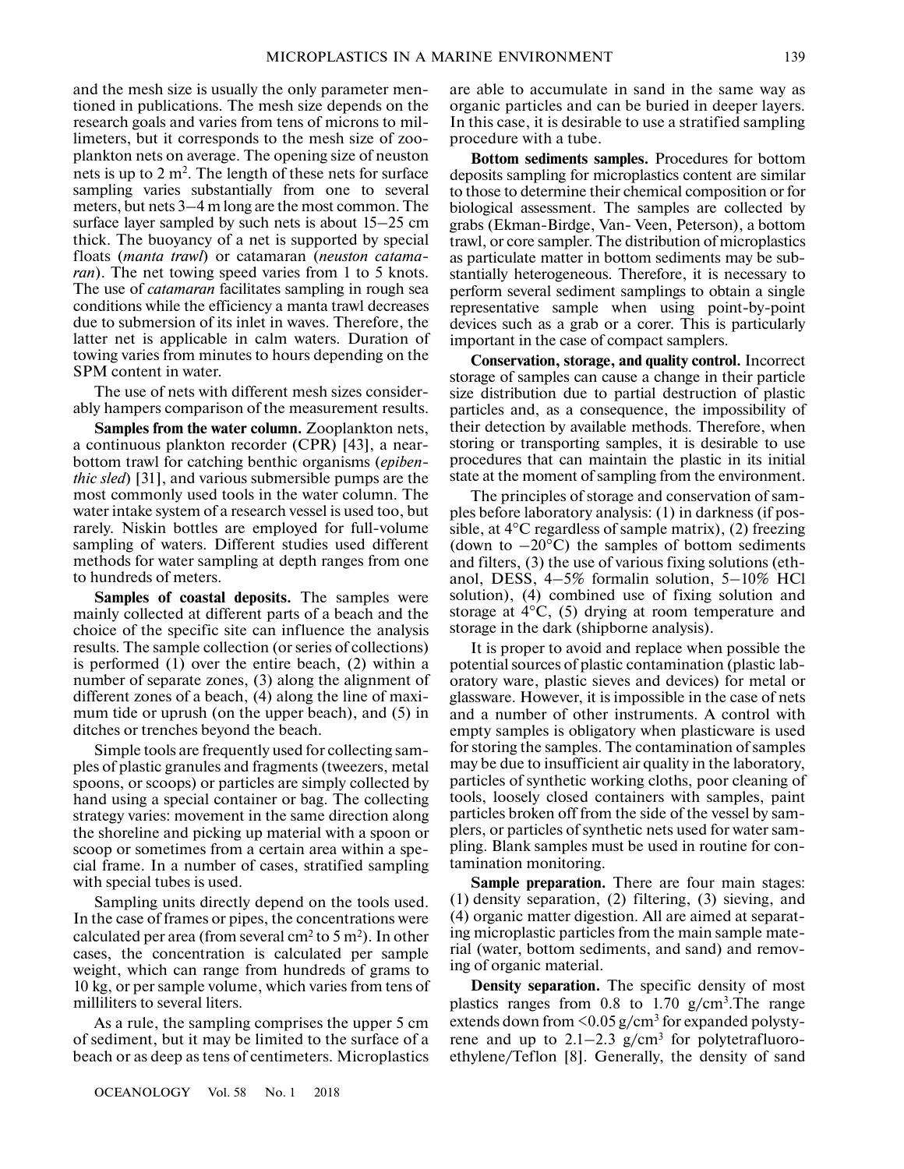and the mesh size is usually the only parameter mentioned in publications. The mesh size depends on the research goals and varies from tens of microns to millimeters, but it corresponds to the mesh size of zooplankton nets on average. The opening size of neuston nets is up to  $2 \text{ m}^2$ . The length of these nets for surface sampling varies substantially from one to several meters, but nets 3–4 m long are the most common. The surface layer sampled by such nets is about 15–25 cm thick. The buoyancy of a net is supported by special floats (*manta trawl*) or catamaran (*neuston catamaran*). The net towing speed varies from 1 to 5 knots. The use of *catamaran* facilitates sampling in rough sea conditions while the efficiency a manta trawl decreases due to submersion of its inlet in waves. Therefore, the latter net is applicable in calm waters. Duration of towing varies from minutes to hours depending on the SPM content in water.

The use of nets with different mesh sizes considerably hampers comparison of the measurement results.

**Samples from the water column.** Zooplankton nets, a continuous plankton recorder (CPR) [43], a nearbottom trawl for catching benthic organisms (*epibenthic sled*) [31], and various submersible pumps are the most commonly used tools in the water column. The water intake system of a research vessel is used too, but rarely. Niskin bottles are employed for full-volume sampling of waters. Different studies used different methods for water sampling at depth ranges from one to hundreds of meters.

**Samples of coastal deposits.** The samples were mainly collected at different parts of a beach and the choice of the specific site can influence the analysis results. The sample collection (or series of collections) is performed (1) over the entire beach, (2) within a number of separate zones, (3) along the alignment of different zones of a beach, (4) along the line of maximum tide or uprush (on the upper beach), and (5) in ditches or trenches beyond the beach.

Simple tools are frequently used for collecting samples of plastic granules and fragments (tweezers, metal spoons, or scoops) or particles are simply collected by hand using a special container or bag. The collecting strategy varies: movement in the same direction along the shoreline and picking up material with a spoon or scoop or sometimes from a certain area within a special frame. In a number of cases, stratified sampling with special tubes is used.

Sampling units directly depend on the tools used. In the case of frames or pipes, the concentrations were calculated per area (from several cm<sup>2</sup> to 5 m<sup>2</sup>). In other cases, the concentration is calculated per sample weight, which can range from hundreds of grams to 10 kg, or per sample volume, which varies from tens of milliliters to several liters.

As a rule, the sampling comprises the upper 5 cm of sediment, but it may be limited to the surface of a beach or as deep as tens of centimeters. Microplastics are able to accumulate in sand in the same way as organic particles and can be buried in deeper layers. In this case, it is desirable to use a stratified sampling procedure with a tube.

**Bottom sediments samples.** Procedures for bottom deposits sampling for microplastics content are similar to those to determine their chemical composition or for biological assessment. The samples are collected by grabs (Ekman-Birdge, Van- Veen, Peterson), a bottom trawl, or core sampler. The distribution of microplastics as particulate matter in bottom sediments may be substantially heterogeneous. Therefore, it is necessary to perform several sediment samplings to obtain a single representative sample when using point-by-point devices such as a grab or a corer. This is particularly important in the case of compact samplers.

**Conservation, storage, and quality control.** Incorrect storage of samples can cause a change in their particle size distribution due to partial destruction of plastic particles and, as a consequence, the impossibility of their detection by available methods. Therefore, when storing or transporting samples, it is desirable to use procedures that can maintain the plastic in its initial state at the moment of sampling from the environment.

The principles of storage and conservation of samples before laboratory analysis: (1) in darkness (if possible, at 4°С regardless of sample matrix), (2) freezing (down to  $-20^{\circ}$ C) the samples of bottom sediments and filters, (3) the use of various fixing solutions (ethanol, DESS, 4–5% formalin solution, 5–10% HCl solution), (4) combined use of fixing solution and storage at 4°С, (5) drying at room temperature and storage in the dark (shipborne analysis).

It is proper to avoid and replace when possible the potential sources of plastic contamination (plastic laboratory ware, plastic sieves and devices) for metal or glassware. However, it is impossible in the case of nets and a number of other instruments. A control with empty samples is obligatory when plasticware is used for storing the samples. The contamination of samples may be due to insufficient air quality in the laboratory, particles of synthetic working cloths, poor cleaning of tools, loosely closed containers with samples, paint particles broken off from the side of the vessel by samplers, or particles of synthetic nets used for water sampling. Blank samples must be used in routine for contamination monitoring.

**Sample preparation.** There are four main stages: (1) density separation, (2) filtering, (3) sieving, and (4) organic matter digestion. All are aimed at separating microplastic particles from the main sample material (water, bottom sediments, and sand) and removing of organic material.

**Density separation.** The specific density of most plastics ranges from  $0.8$  to  $1.70$  g/cm<sup>3</sup>. The range extends down from  $\leq 0.05$  g/cm<sup>3</sup> for expanded polystyrene and up to  $2.1-2.3$  g/cm<sup>3</sup> for polytetrafluoroethylene/Teflon [8]. Generally, the density of sand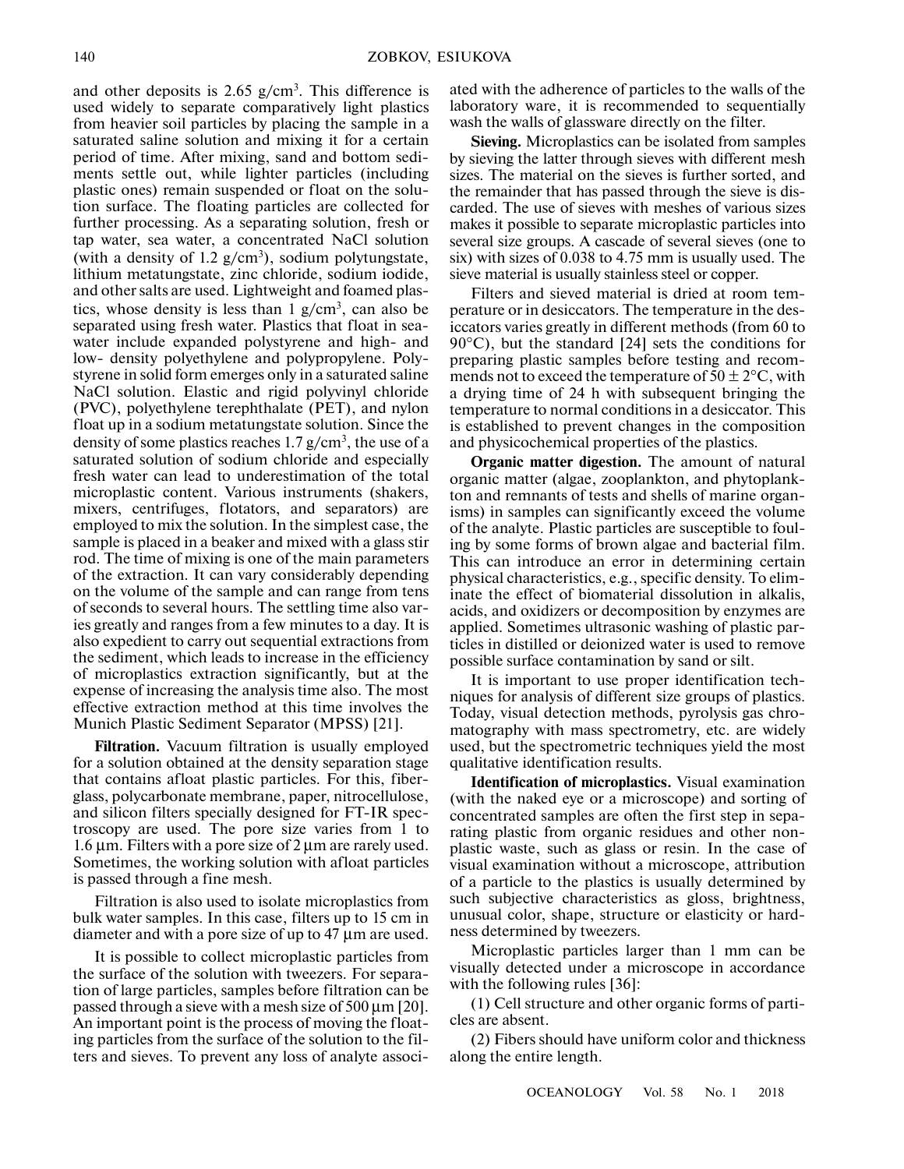and other deposits is  $2.65$  g/cm<sup>3</sup>. This difference is used widely to separate comparatively light plastics from heavier soil particles by placing the sample in a saturated saline solution and mixing it for a certain period of time. After mixing, sand and bottom sediments settle out, while lighter particles (including plastic ones) remain suspended or float on the solution surface. The floating particles are collected for further processing. As a separating solution, fresh or tap water, sea water, a concentrated NaCl solution (with a density of 1.2  $g/cm<sup>3</sup>$ ), sodium polytungstate, lithium metatungstate, zinc chloride, sodium iodide, and other salts are used. Lightweight and foamed plastics, whose density is less than  $1 \text{ g/cm}^3$ , can also be separated using fresh water. Plastics that float in seawater include expanded polystyrene and high- and low- density polyethylene and polypropylene. Polystyrene in solid form emerges only in a saturated saline NaCl solution. Elastic and rigid polyvinyl chloride (PVC), polyethylene terephthalate (PET), and nylon float up in a sodium metatungstate solution. Since the density of some plastics reaches  $1.7 \text{ g/cm}^3$ , the use of a saturated solution of sodium chloride and especially fresh water can lead to underestimation of the total microplastic content. Various instruments (shakers, mixers, centrifuges, flotators, and separators) are employed to mix the solution. In the simplest case, the sample is placed in a beaker and mixed with a glass stir rod. The time of mixing is one of the main parameters of the extraction. It can vary considerably depending on the volume of the sample and can range from tens of seconds to several hours. The settling time also varies greatly and ranges from a few minutes to a day. It is also expedient to carry out sequential extractions from the sediment, which leads to increase in the efficiency of microplastics extraction significantly, but at the expense of increasing the analysis time also. The most effective extraction method at this time involves the Munich Plastic Sediment Separator (MPSS) [21].

**Filtration.** Vacuum filtration is usually employed for a solution obtained at the density separation stage that contains afloat plastic particles. For this, fiberglass, polycarbonate membrane, paper, nitrocellulose, and silicon filters specially designed for FT-IR spectroscopy are used. The pore size varies from 1 to 1.6 μm. Filters with a pore size of 2 μm are rarely used. Sometimes, the working solution with afloat particles is passed through a fine mesh.

Filtration is also used to isolate microplastics from bulk water samples. In this case, filters up to 15 cm in diameter and with a pore size of up to 47 μm are used.

It is possible to collect microplastic particles from the surface of the solution with tweezers. For separation of large particles, samples before filtration can be passed through a sieve with a mesh size of 500 μm [20]. An important point is the process of moving the floating particles from the surface of the solution to the filters and sieves. To prevent any loss of analyte associated with the adherence of particles to the walls of the laboratory ware, it is recommended to sequentially wash the walls of glassware directly on the filter.

**Sieving.** Microplastics can be isolated from samples by sieving the latter through sieves with different mesh sizes. The material on the sieves is further sorted, and the remainder that has passed through the sieve is discarded. The use of sieves with meshes of various sizes makes it possible to separate microplastic particles into several size groups. A cascade of several sieves (one to six) with sizes of 0.038 to 4.75 mm is usually used. The sieve material is usually stainless steel or copper.

Filters and sieved material is dried at room temperature or in desiccators. The temperature in the desiccators varies greatly in different methods (from 60 to 90°C), but the standard [24] sets the conditions for preparing plastic samples before testing and recommends not to exceed the temperature of  $50 \pm 2$ °C, with a drying time of 24 h with subsequent bringing the temperature to normal conditions in a desiccator. This is established to prevent changes in the composition and physicochemical properties of the plastics.

**Organic matter digestion.** The amount of natural organic matter (algae, zooplankton, and phytoplankton and remnants of tests and shells of marine organisms) in samples can significantly exceed the volume of the analyte. Plastic particles are susceptible to fouling by some forms of brown algae and bacterial film. This can introduce an error in determining certain physical characteristics, e.g., specific density. To eliminate the effect of biomaterial dissolution in alkalis, acids, and oxidizers or decomposition by enzymes are applied. Sometimes ultrasonic washing of plastic particles in distilled or deionized water is used to remove possible surface contamination by sand or silt.

It is important to use proper identification techniques for analysis of different size groups of plastics. Today, visual detection methods, pyrolysis gas chromatography with mass spectrometry, etc. are widely used, but the spectrometric techniques yield the most qualitative identification results.

**Identification of microplastics.** Visual examination (with the naked eye or a microscope) and sorting of concentrated samples are often the first step in separating plastic from organic residues and other nonplastic waste, such as glass or resin. In the case of visual examination without a microscope, attribution of a particle to the plastics is usually determined by such subjective characteristics as gloss, brightness, unusual color, shape, structure or elasticity or hardness determined by tweezers.

Microplastic particles larger than 1 mm can be visually detected under a microscope in accordance with the following rules [36]:

(1) Cell structure and other organic forms of particles are absent.

(2) Fibers should have uniform color and thickness along the entire length.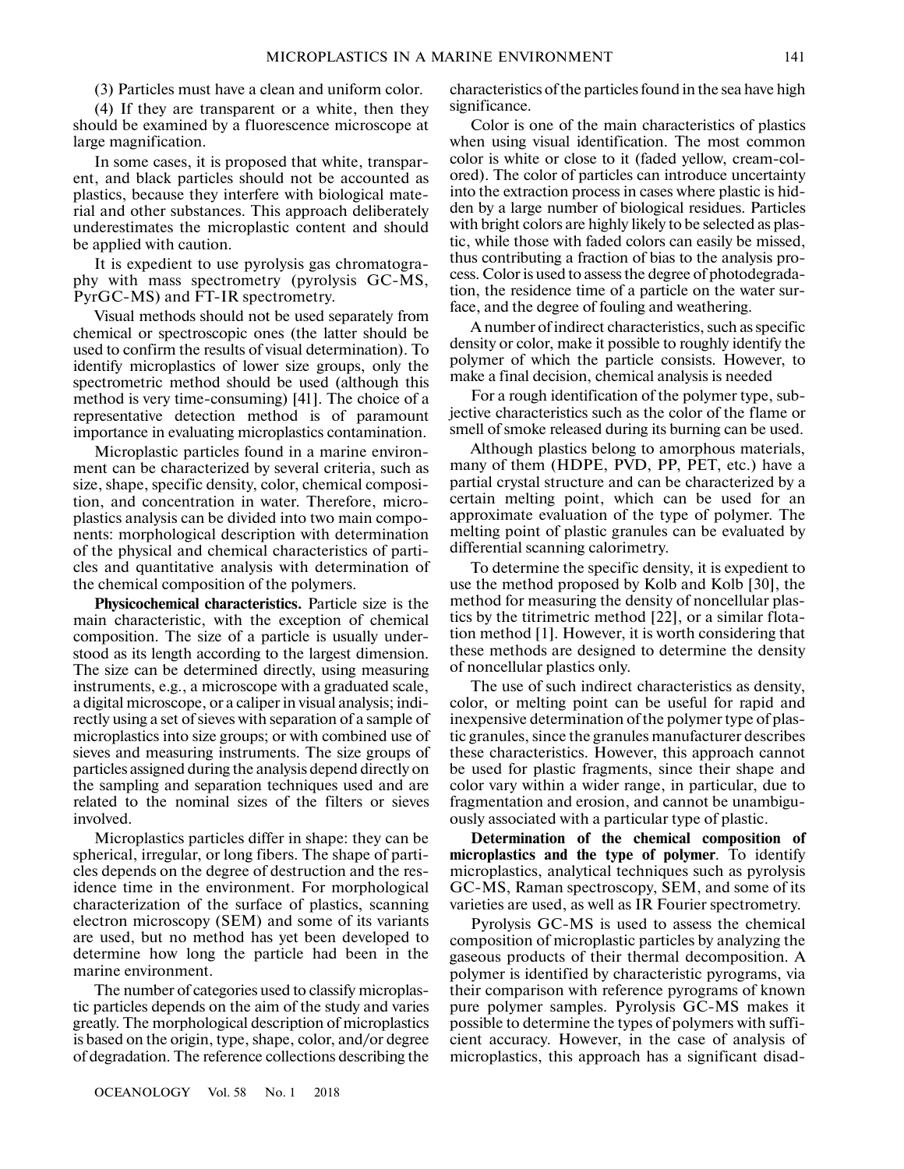(3) Particles must have a clean and uniform color.

(4) If they are transparent or a white, then they should be examined by a fluorescence microscope at large magnification.

In some cases, it is proposed that white, transparent, and black particles should not be accounted as plastics, because they interfere with biological material and other substances. This approach deliberately underestimates the microplastic content and should be applied with caution.

It is expedient to use pyrolysis gas chromatography with mass spectrometry (pyrolysis GC-MS, PyrGC-MS) and FT-IR spectrometry.

Visual methods should not be used separately from chemical or spectroscopic ones (the latter should be used to confirm the results of visual determination). To identify microplastics of lower size groups, only the spectrometric method should be used (although this method is very time-consuming) [41]. The choice of a representative detection method is of paramount importance in evaluating microplastics contamination.

Microplastic particles found in a marine environment can be characterized by several criteria, such as size, shape, specific density, color, chemical composition, and concentration in water. Therefore, microplastics analysis can be divided into two main components: morphological description with determination of the physical and chemical characteristics of particles and quantitative analysis with determination of the chemical composition of the polymers.

**Physicochemical characteristics.** Particle size is the main characteristic, with the exception of chemical composition. The size of a particle is usually understood as its length according to the largest dimension. The size can be determined directly, using measuring instruments, e.g., a microscope with a graduated scale, a digital microscope, or a caliper in visual analysis; indirectly using a set of sieves with separation of a sample of microplastics into size groups; or with combined use of sieves and measuring instruments. The size groups of particles assigned during the analysis depend directly on the sampling and separation techniques used and are related to the nominal sizes of the filters or sieves involved.

Microplastics particles differ in shape: they can be spherical, irregular, or long fibers. The shape of particles depends on the degree of destruction and the residence time in the environment. For morphological characterization of the surface of plastics, scanning electron microscopy (SEM) and some of its variants are used, but no method has yet been developed to determine how long the particle had been in the marine environment.

The number of categories used to classify microplastic particles depends on the aim of the study and varies greatly. The morphological description of microplastics is based on the origin, type, shape, color, and/or degree of degradation. The reference collections describing the characteristics of the particles found in the sea have high significance.

Color is one of the main characteristics of plastics when using visual identification. The most common color is white or close to it (faded yellow, cream-colored). The color of particles can introduce uncertainty into the extraction process in cases where plastic is hidden by a large number of biological residues. Particles with bright colors are highly likely to be selected as plastic, while those with faded colors can easily be missed, thus contributing a fraction of bias to the analysis process. Color is used to assess the degree of photodegradation, the residence time of a particle on the water surface, and the degree of fouling and weathering.

A number of indirect characteristics, such as specific density or color, make it possible to roughly identify the polymer of which the particle consists. However, to make a final decision, chemical analysis is needed

For a rough identification of the polymer type, subjective characteristics such as the color of the flame or smell of smoke released during its burning can be used.

Although plastics belong to amorphous materials, many of them (HDPE, PVD, PP, PET, etc.) have a partial crystal structure and can be characterized by a certain melting point, which can be used for an approximate evaluation of the type of polymer. The melting point of plastic granules can be evaluated by differential scanning calorimetry.

To determine the specific density, it is expedient to use the method proposed by Kolb and Kolb [30], the method for measuring the density of noncellular plastics by the titrimetric method [22], or a similar flotation method [1]. However, it is worth considering that these methods are designed to determine the density of noncellular plastics only.

The use of such indirect characteristics as density, color, or melting point can be useful for rapid and inexpensive determination of the polymer type of plastic granules, since the granules manufacturer describes these characteristics. However, this approach cannot be used for plastic fragments, since their shape and color vary within a wider range, in particular, due to fragmentation and erosion, and cannot be unambiguously associated with a particular type of plastic.

**Determination of the chemical composition of microplastics and the type of polymer**. To identify microplastics, analytical techniques such as pyrolysis GC-MS, Raman spectroscopy, SEM, and some of its varieties are used, as well as IR Fourier spectrometry.

Pyrolysis GC-MS is used to assess the chemical composition of microplastic particles by analyzing the gaseous products of their thermal decomposition. A polymer is identified by characteristic pyrograms, via their comparison with reference pyrograms of known pure polymer samples. Pyrolysis GC-MS makes it possible to determine the types of polymers with sufficient accuracy. However, in the case of analysis of microplastics, this approach has a significant disad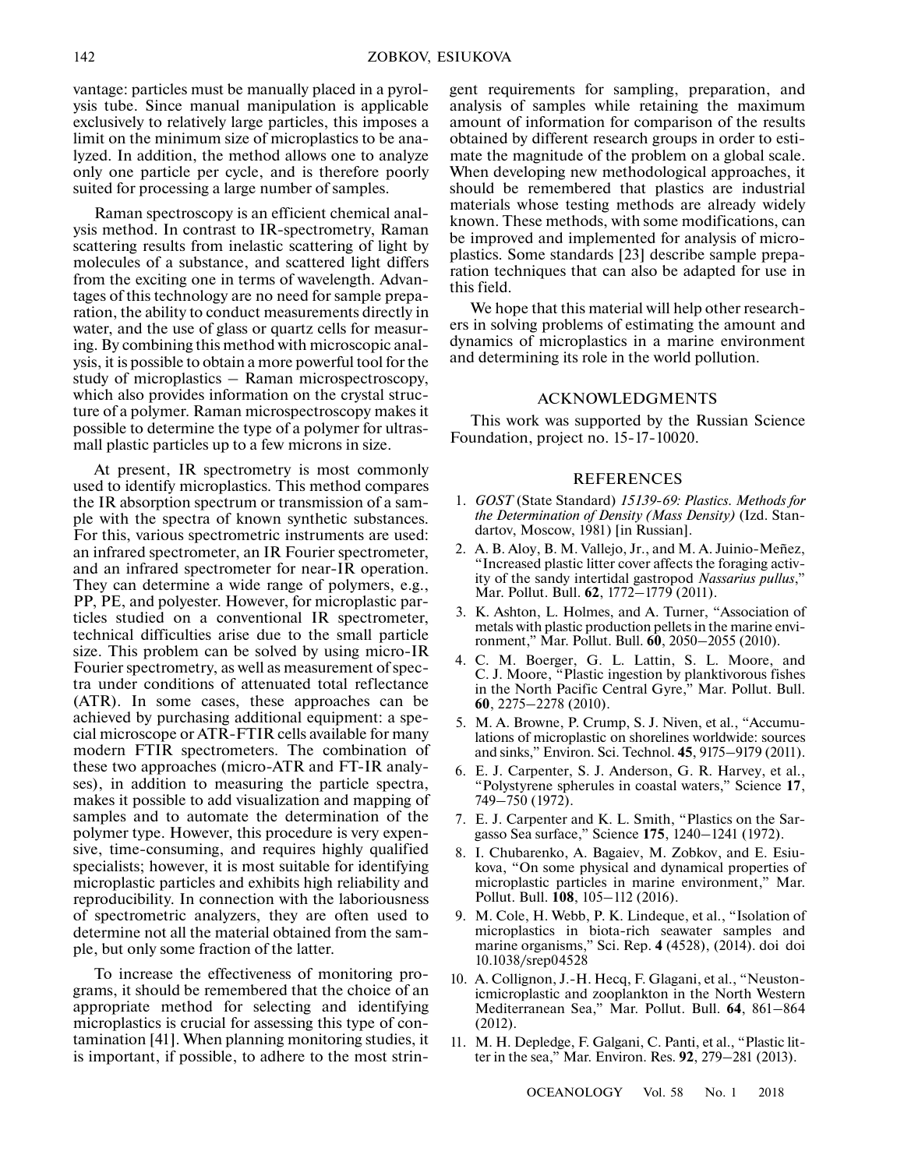vantage: particles must be manually placed in a pyrolysis tube. Since manual manipulation is applicable exclusively to relatively large particles, this imposes a limit on the minimum size of microplastics to be analyzed. In addition, the method allows one to analyze only one particle per cycle, and is therefore poorly suited for processing a large number of samples.

Raman spectroscopy is an efficient chemical analysis method. In contrast to IR-spectrometry, Raman scattering results from inelastic scattering of light by molecules of a substance, and scattered light differs from the exciting one in terms of wavelength. Advantages of this technology are no need for sample preparation, the ability to conduct measurements directly in water, and the use of glass or quartz cells for measuring. By combining this method with microscopic analysis, it is possible to obtain a more powerful tool for the study of microplastics – Raman microspectroscopy, which also provides information on the crystal structure of a polymer. Raman microspectroscopy makes it possible to determine the type of a polymer for ultrasmall plastic particles up to a few microns in size.

At present, IR spectrometry is most commonly used to identify microplastics. This method compares the IR absorption spectrum or transmission of a sample with the spectra of known synthetic substances. For this, various spectrometric instruments are used: an infrared spectrometer, an IR Fourier spectrometer, and an infrared spectrometer for near-IR operation. They can determine a wide range of polymers, e.g., PP, PE, and polyester. However, for microplastic particles studied on a conventional IR spectrometer, technical difficulties arise due to the small particle size. This problem can be solved by using micro-IR Fourier spectrometry, as well as measurement of spectra under conditions of attenuated total reflectance (ATR). In some cases, these approaches can be achieved by purchasing additional equipment: a special microscope or ATR-FTIR cells available for many modern FTIR spectrometers. The combination of these two approaches (micro-ATR and FT-IR analyses), in addition to measuring the particle spectra, makes it possible to add visualization and mapping of samples and to automate the determination of the polymer type. However, this procedure is very expensive, time-consuming, and requires highly qualified specialists; however, it is most suitable for identifying microplastic particles and exhibits high reliability and reproducibility. In connection with the laboriousness of spectrometric analyzers, they are often used to determine not all the material obtained from the sample, but only some fraction of the latter.

To increase the effectiveness of monitoring programs, it should be remembered that the choice of an appropriate method for selecting and identifying microplastics is crucial for assessing this type of contamination [41]. When planning monitoring studies, it is important, if possible, to adhere to the most stringent requirements for sampling, preparation, and analysis of samples while retaining the maximum amount of information for comparison of the results obtained by different research groups in order to estimate the magnitude of the problem on a global scale. When developing new methodological approaches, it should be remembered that plastics are industrial materials whose testing methods are already widely known. These methods, with some modifications, can be improved and implemented for analysis of microplastics. Some standards [23] describe sample preparation techniques that can also be adapted for use in this field.

We hope that this material will help other researchers in solving problems of estimating the amount and dynamics of microplastics in a marine environment and determining its role in the world pollution.

### ACKNOWLEDGMENTS

This work was supported by the Russian Science Foundation, project no. 15-17-10020.

### REFERENCES

- 1. *GOST* (State Standard) *15139-69: Plastics. Methods for the Determination of Density (Mass Density)* (Izd. Standartov, Moscow, 1981) [in Russian].
- 2. A. B. Aloy, B. M. Vallejo, Jr., and M. A. Juinio-Meñez, "Increased plastic litter cover affects the foraging activity of the sandy intertidal gastropod *Nassarius pullus*," Mar. Pollut. Bull. **62**, 1772–1779 (2011).
- 3. K. Ashton, L. Holmes, and A. Turner, "Association of metals with plastic production pellets in the marine environment," Mar. Pollut. Bull. **60**, 2050–2055 (2010).
- 4. C. M. Boerger, G. L. Lattin, S. L. Moore, and C. J. Moore, "Plastic ingestion by planktivorous fishes in the North Pacific Central Gyre," Mar. Pollut. Bull. **60**, 2275–2278 (2010).
- 5. M. A. Browne, P. Crump, S. J. Niven, et al., "Accumulations of microplastic on shorelines worldwide: sources and sinks," Environ. Sci. Technol. **45**, 9175–9179 (2011).
- 6. E. J. Carpenter, S. J. Anderson, G. R. Harvey, et al., "Polystyrene spherules in coastal waters," Science **17**, 749–750 (1972).
- 7. E. J. Carpenter and K. L. Smith, "Plastics on the Sargasso Sea surface," Science **175**, 1240–1241 (1972).
- 8. I. Chubarenko, A. Bagaiev, M. Zobkov, and E. Esiukova, "On some physical and dynamical properties of microplastic particles in marine environment," Mar. Pollut. Bull. **108**, 105–112 (2016).
- 9. M. Cole, H. Webb, P. K. Lindeque, et al., "Isolation of microplastics in biota-rich seawater samples and marine organisms," Sci. Rep. **4** (4528), (2014). doi doi 10.1038/srep04528
- 10. A. Collignon, J.-H. Hecq, F. Glagani, et al., "Neustonicmicroplastic and zooplankton in the North Western Mediterranean Sea," Mar. Pollut. Bull. **64**, 861–864 (2012).
- 11. M. H. Depledge, F. Galgani, C. Panti, et al., "Plastic litter in the sea," Mar. Environ. Res. **92**, 279–281 (2013).

OCEANOLOGY Vol. 58 No. 1 2018